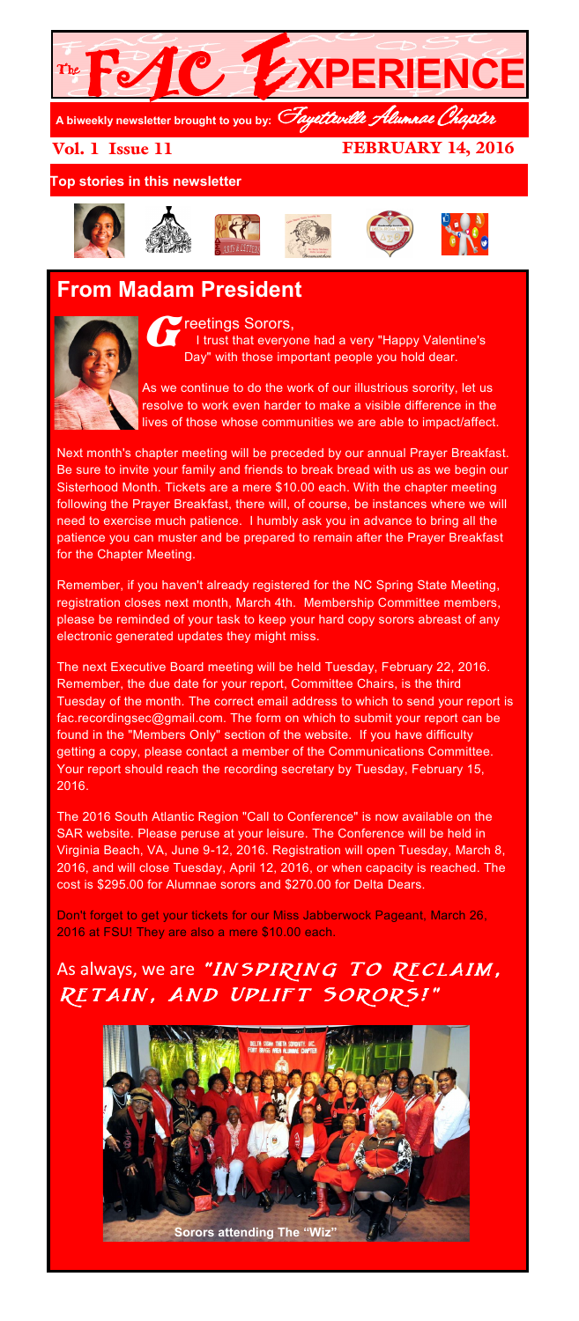

Vol. 1 Issue 11

FEBRUARY 14, 2016

**Top stories in this newsletter**











## **From Madam President**



G reetings Sorors, I trust that everyone had a very "Happy Valentine's Day" with those important people you hold dear.

As we continue to do the work of our illustrious sorority, let us resolve to work even harder to make a visible difference in the lives of those whose communities we are able to impact/affect.

Next month's chapter meeting will be preceded by our annual Prayer Breakfast. Be sure to invite your family and friends to break bread with us as we begin our Sisterhood Month. Tickets are a mere \$10.00 each. With the chapter meeting following the Prayer Breakfast, there will, of course, be instances where we will need to exercise much patience. I humbly ask you in advance to bring all the patience you can muster and be prepared to remain after the Prayer Breakfast for the Chapter Meeting.

Remember, if you haven't already registered for the NC Spring State Meeting, registration closes next month, March 4th. Membership Committee members, please be reminded of your task to keep your hard copy sorors abreast of any electronic generated updates they might miss.

The next Executive Board meeting will be held Tuesday, February 22, 2016. Remember, the due date for your report, Committee Chairs, is the third Tuesday of the month. The correct email address to which to send your report is fac.recordingsec@gmail.com. The form on which to submit your report can be found in the "Members Only" section of the website. If you have difficulty getting a copy, please contact a member of the Communications Committee. Your report should reach the recording secretary by Tuesday, February 15, 2016.

The 2016 South Atlantic Region "Call to Conference" is now available on the SAR website. Please peruse at your leisure. The Conference will be held in Virginia Beach, VA, June 9-12, 2016. Registration will open Tuesday, March 8, 2016, and will close Tuesday, April 12, 2016, or when capacity is reached. The cost is \$295.00 for Alumnae sorors and \$270.00 for Delta Dears.

Don't forget to get your tickets for our Miss Jabberwock Pageant, March 26, 2016 at FSU! They are also a mere \$10.00 each.

## As always, we are "INSPIRING TO RECLAIM, RETAIN, AND UPLIFT SORORS!"